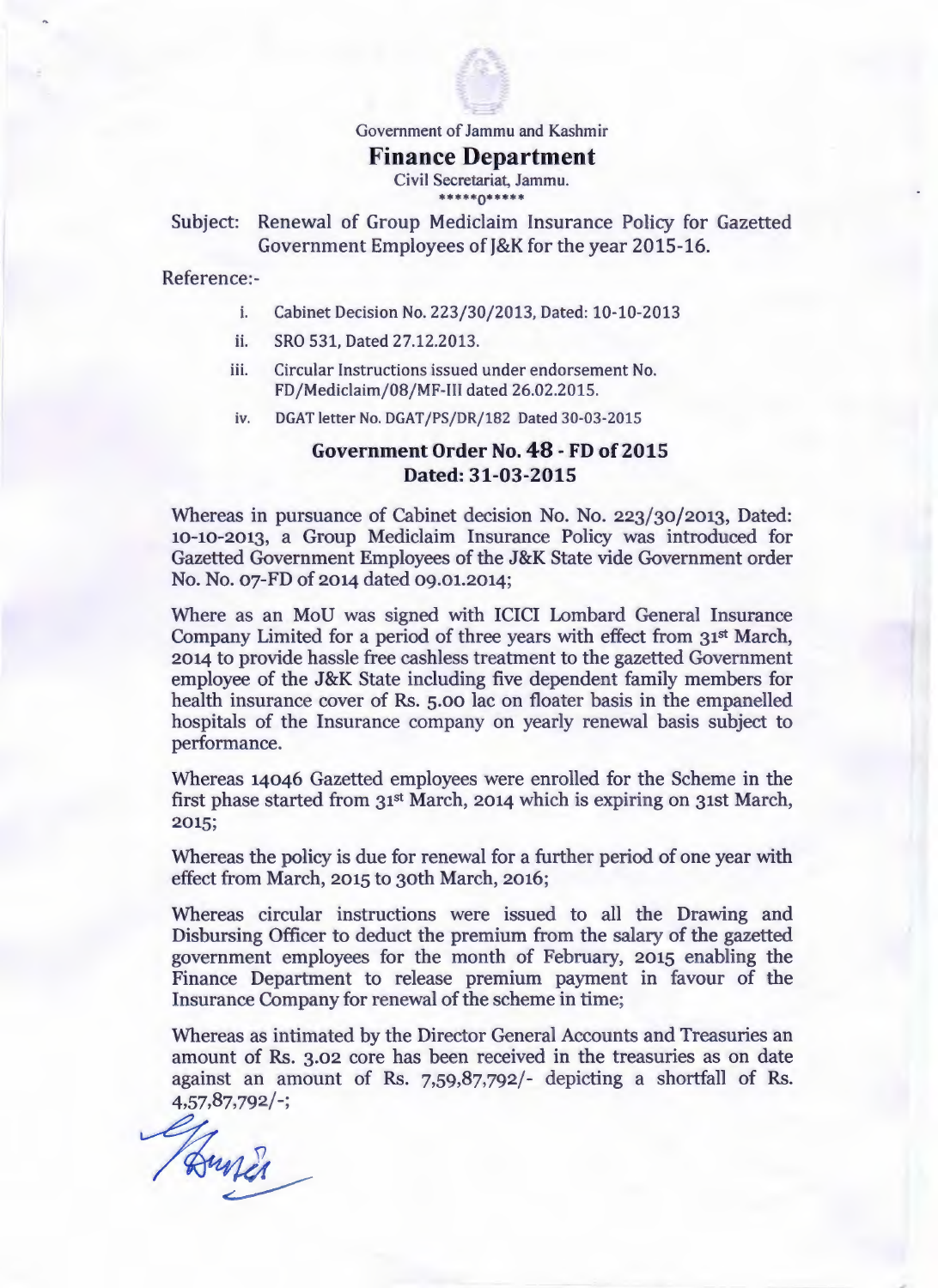

Government of Jammu and Kashmir

## **Finance Department**

Civil Secretariat, Jammu. \*\*\*\*\*\*\*\*\*\*

Subject: Renewal of Group Mediclaim Insurance Policy for Gazetted Government Employees of J&K for the year 2015-16.

Reference:-

- i. Cabinet Decision No. 223/30/2013, Dated: 10-10-2013
- ii. SRO 531, Dated 27.12.2013.
- iii. Circular Instructions issued under endorsement No. FD/Mediclaim/08/MF-[[[ dated 26.02.2015.
- iv. DGAT letter No. DGAT/PS/DR/182 Dated 30-03-2015

## **Government Order No. 48 -FD of2015 Dated: 31-03-2015**

Whereas in pursuance of Cabinet decision No. No. 223/30/2013, Dated: 10-10-2013, a Group Mediclaim Insurance Policy was introduced for Gazetted Government Employees of the J&K State vide Government order No. No. 07-FD of 2014 dated 09.01.2014;

Where as an MoU was signed with ICICI Lombard General Insurance Company Limited for a period of three years with effect from 31<sup>st</sup> March, 2014 to provide hassle free cashless treatment to the gazetted Government employee of the J&K State including five dependent family members for health insurance cover of Rs. 5.00 lac on floater basis in the empanelled hospitals of the Insurance company on yearly renewal basis subject to performance.

Whereas 14046 Gazetted employees were enrolled for the Scheme in the first phase started from 31st March, 2014 which is expiring on 31st March, 2015;

Whereas the policy is due for renewal for a further period of one year with effect from March, 2015 to 30th March, 2016;

Whereas circular instructions were issued to all the Drawing and Disbursing Officer to deduct the premium from the salary of the gazetted government employees for the month of February, 2015 enabling the Finance Department to release premium payment in favour of the Insurance Company for renewal of the scheme in time;

Whereas as intimated by the Director General Accounts and Treasuries an amount of Rs. 3.02 core has been received in the treasuries as on date against an amount of Rs. 7,59,87,792/- depicting a shortfall of Rs. 4,57,87,792/-;

Hund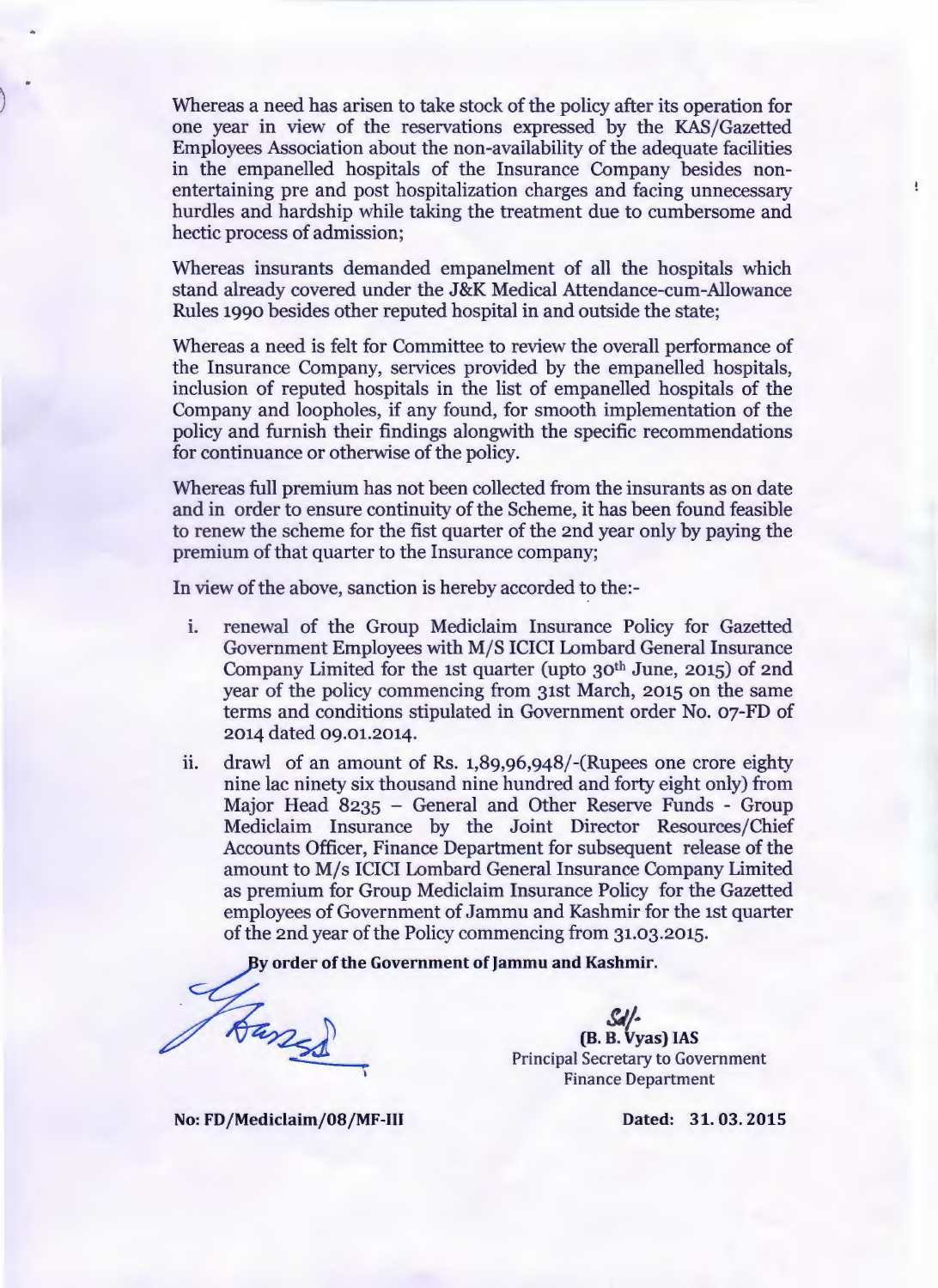) Whereas a need has arisen to take stock of the policy after its operation for one year in view of the reservations expressed by the KAS/Gazetted Employees Association about the non-availability of the adequate facilities in the empanelled hospitals of the Insurance Company besides nonentertaining pre and post hospitalization charges and facing unnecessary hurdles and hardship while taking the treatment due to cumbersome and hectic process of admission;

Whereas insurants demanded empanelment of all the hospitals which stand already covered under the J&K Medical Attendance-cum-Allowance Rules 1990 besides other reputed hospital in and outside the state;

Whereas a need is felt for Committee to review the overall performance of the Insurance Company, services provided by the empanelled hospitals, inclusion of reputed hospitals in the list of empanelled hospitals of the Company and loopholes, if any found, for smooth implementation of the policy and furnish their findings alongwith the specific recommendations for continuance or otherwise of the policy.

Whereas full premium has not been collected from the insurants as on date and in order to ensure continuity of the Scheme, it has been found feasible to renew the scheme for the fist quarter of the znd year only by paying the premium of that quarter to the Insurance company;

In view of the above, sanction is hereby accorded to the:-

- 1. renewal of the Group Mediclaim Insurance Policy for Gazetted Government Employees with M/S ICICI Lombard General Insurance Company Limited for the 1st quarter (upto 30<sup>th</sup> June, 2015) of 2nd year of the policy commencing from 31st March, 2015 on the same terms and conditions stipulated in Government order No. 07-FD of 2014 dated 09.01.2014.
- ii. drawl of an amount of Rs.  $1,89,96,948/$ -(Rupees one crore eighty nine lac ninety six thousand nine hundred and forty eight only) from Major Head 8235 - General and Other Reserve Funds - Group Mediclaim Insurance by the Joint Director Resources/Chief Accounts Officer, Finance Department for subsequent release of the amount to M/s ICICI Lombard General Insurance Company Limited as premium for Group Mediclaim Insurance Policy for the Gazetted employees of Government of Jammu and Kashmir for the ist quarter of the znd year of the Policy commencing from 31.03.2015.

By order of the Government of Jammu and Kashmir.

Hanses

*SJ/-* (B. B. Vyas) IAS Principal Secretary to Government Finance Department

No: FD/Mediclaim/08/MF-III Dated: 31.03.2015

 $\pmb{\mathbb{I}}$